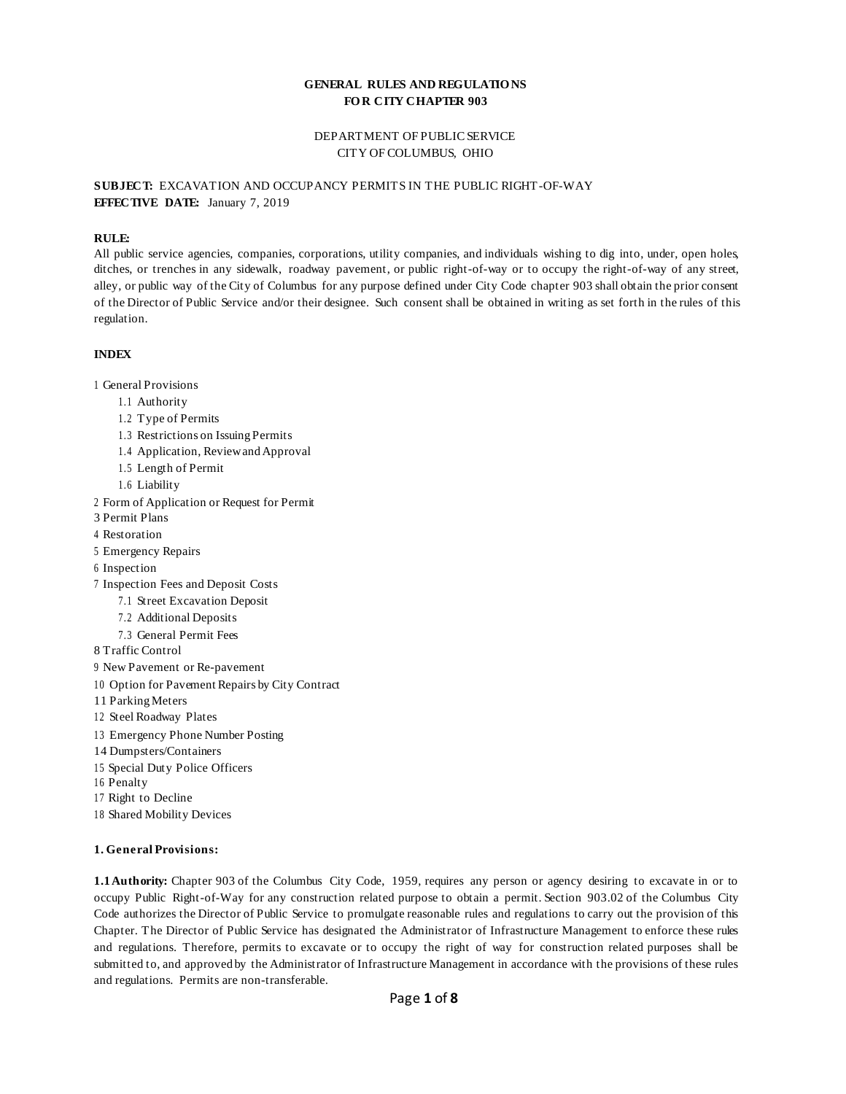## **GENERAL RULES AND REGULATIO NS FO R CITY CHAPTER 903**

# DEPARTMENT OF PUBLIC SERVICE CITY OF COLUMBUS, OHIO

# **SUBJECT:** EXCAVATION AND OCCUPANCY PERMITS IN THE PUBLIC RIGHT-OF-WAY **EFFECTIVE DATE:** January 7, 2019

### **RULE:**

All public service agencies, companies, corporations, utility companies, and individuals wishing to dig into, under, open holes, ditches, or trenches in any sidewalk, roadway pavement, or public right-of-way or to occupy the right-of-way of any street, alley, or public way of the City of Columbus for any purpose defined under City Code chapter 903 shall obtain the prior consent of the Director of Public Service and/or their designee. Such consent shall be obtained in writing as set forth in the rules of this regulation.

### **INDEX**

- 1 General Provisions
	- 1.1 Authority
	- 1.2 Type of Permits
	- 1.3 Restrictions on Issuing Permits
	- 1.4 Application, ReviewandApproval
	- 1.5 Length of Permit
	- 1.6 Liability
- 2 Form of Application or Request for Permit
- 3 Permit Plans
- 4 Restoration
- 5 Emergency Repairs
- 6 Inspection
- 7 Inspection Fees and Deposit Costs
	- 7.1 Street Excavation Deposit
	- 7.2 Additional Deposits
	- 7.3 General Permit Fees
- 8 Traffic Control
- 9 New Pavement or Re-pavement
- 10 Option for Pavement Repairs by City Contract
- 11 ParkingMeters
- 12 Steel Roadway Plates
- 13 Emergency Phone Number Posting
- 14 Dumpsters/Containers
- 15 Special Duty Police Officers
- 16 Penalty
- 17 Right to Decline
- 18 Shared Mobility Devices

### **1. General Provisions:**

**1.1Authority:** Chapter 903 of the Columbus City Code, 1959, requires any person or agency desiring to excavate in or to occupy Public Right-of-Way for any construction related purpose to obtain a permit. Section 903.02 of the Columbus City Code authorizes the Director of Public Service to promulgate reasonable rules and regulations to carry out the provision of this Chapter. The Director of Public Service has designated the Administrator of Infrastructure Management to enforce these rules and regulations. Therefore, permits to excavate or to occupy the right of way for construction related purposes shall be submitted to, and approved by the Administrator of Infrastructure Management in accordance with the provisions of these rules and regulations. Permits are non-transferable.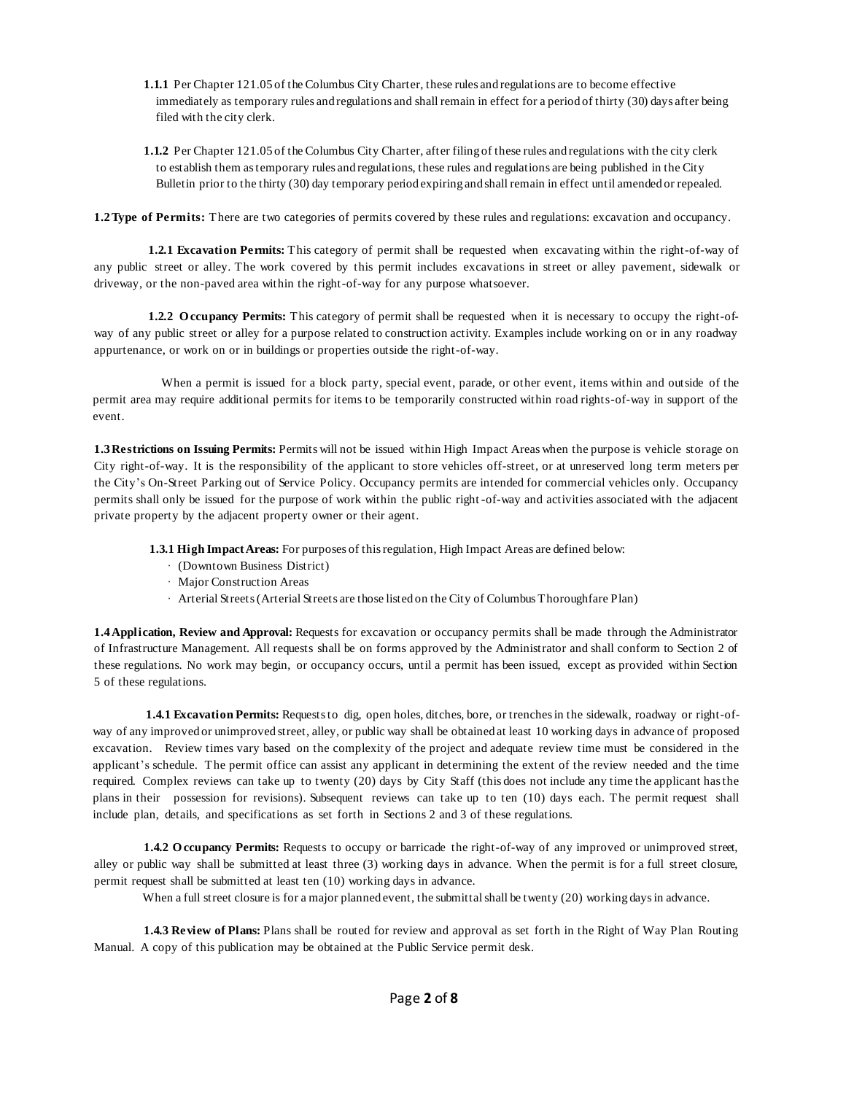- **1.1.1** Per Chapter 121.05 of the Columbus City Charter, these rules and regulations are to become effective immediately as temporary rules and regulations and shall remain in effect for a period of thirty (30) days after being filed with the city clerk.
- **1.1.2** Per Chapter 121.05 of the Columbus City Charter, after filing of these rules and regulations with the city clerk to establish them astemporary rules and regulations, these rules and regulations are being published in the City Bulletin prior to the thirty (30) day temporary period expiring and shall remain in effect until amended or repealed.

**1.2Type of Permits:** There are two categories of permits covered by these rules and regulations: excavation and occupancy.

**1.2.1 Excavation Permits:** This category of permit shall be requested when excavating within the right-of-way of any public street or alley. The work covered by this permit includes excavations in street or alley pavement, sidewalk or driveway, or the non-paved area within the right-of-way for any purpose whatsoever.

**1.2.2 O ccupancy Permits:** This category of permit shall be requested when it is necessary to occupy the right-ofway of any public street or alley for a purpose related to construction activity. Examples include working on or in any roadway appurtenance, or work on or in buildings or properties outside the right-of-way.

When a permit is issued for a block party, special event, parade, or other event, items within and outside of the permit area may require additional permits for items to be temporarily constructed within road rights-of-way in support of the event.

**1.3Restrictions on Issuing Permits:** Permits will not be issued within High Impact Areas when the purpose is vehicle storage on City right-of-way. It is the responsibility of the applicant to store vehicles off-street, or at unreserved long term meters per the City's On-Street Parking out of Service Policy. Occupancy permits are intended for commercial vehicles only. Occupancy permits shall only be issued for the purpose of work within the public right -of-way and activities associated with the adjacent private property by the adjacent property owner or their agent.

**1.3.1 High ImpactAreas:** For purposes of thisregulation, High Impact Areas are defined below:

- · (Downtown Business District)
- · Major Construction Areas
- · Arterial Streets(Arterial Streets are those listed on the City of Columbus Thoroughfare Plan)

**1.4Application, Review and Approval:** Requests for excavation or occupancy permits shall be made through the Administrator of Infrastructure Management. All requests shall be on forms approved by the Administrator and shall conform to Section 2 of these regulations. No work may begin, or occupancy occurs, until a permit has been issued, except as provided within Section 5 of these regulations.

**1.4.1 Excavation Permits:** Requests to dig, open holes, ditches, bore, or trenches in the sidewalk, roadway or right-ofway of any improved or unimproved street, alley, or public way shall be obtained at least 10 working days in advance of proposed excavation. Review times vary based on the complexity of the project and adequate review time must be considered in the applicant 's schedule. The permit office can assist any applicant in determining the extent of the review needed and the time required. Complex reviews can take up to twenty (20) days by City Staff (this does not include any time the applicant hasthe plans in their possession for revisions). Subsequent reviews can take up to ten (10) days each. The permit request shall include plan, details, and specifications as set forth in Sections 2 and 3 of these regulations.

**1.4.2 O ccupancy Permits:** Requests to occupy or barricade the right-of-way of any improved or unimproved street, alley or public way shall be submitted at least three (3) working days in advance. When the permit is for a full street closure, permit request shall be submitted at least ten (10) working days in advance.

When a full street closure is for a major planned event, the submittal shall be twenty (20) working days in advance.

**1.4.3 Review of Plans:** Plans shall be routed for review and approval as set forth in the Right of Way Plan Routing Manual. A copy of this publication may be obtained at the Public Service permit desk.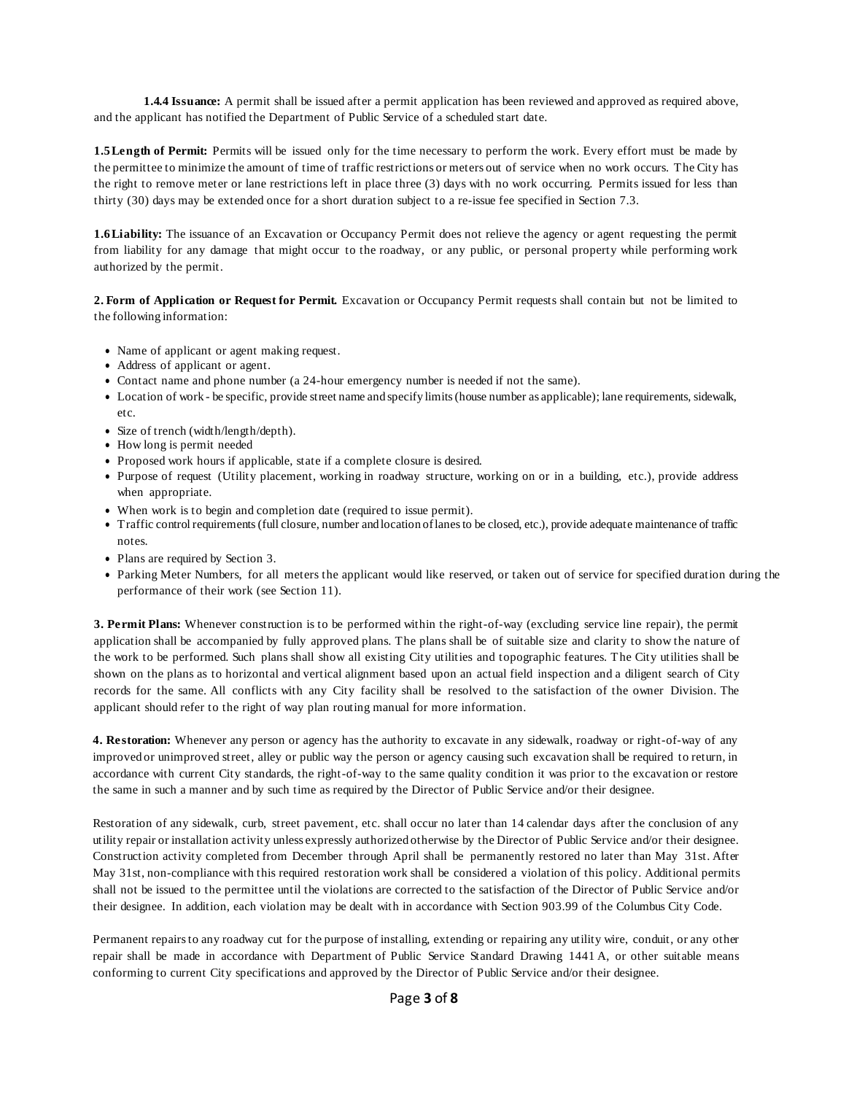**1.4.4 Issuance:** A permit shall be issued after a permit application has been reviewed and approved as required above, and the applicant has notified the Department of Public Service of a scheduled start date.

**1.5Length of Permit:** Permits will be issued only for the time necessary to perform the work. Every effort must be made by the permittee to minimize the amount of time of traffic restrictions or meters out of service when no work occurs. The City has the right to remove meter or lane restrictions left in place three (3) days with no work occurring. Permits issued for less than thirty (30) days may be extended once for a short duration subject to a re-issue fee specified in Section 7.3.

**1.6Liability:** The issuance of an Excavation or Occupancy Permit does not relieve the agency or agent requesting the permit from liability for any damage that might occur to the roadway, or any public, or personal property while performing work authorized by the permit.

**2. Form of Application or Request for Permit.** Excavation or Occupancy Permit requests shall contain but not be limited to the following information:

- Name of applicant or agent making request.
- Address of applicant or agent.
- Contact name and phone number (a 24-hour emergency number is needed if not the same).
- Location of work be specific, provide street name and specify limits(house number as applicable); lane requirements, sidewalk, etc.
- Size of trench (width/length/depth).
- How long is permit needed
- Proposed work hours if applicable, state if a complete closure is desired.
- Purpose of request (Utility placement, working in roadway structure, working on or in a building, etc.), provide address when appropriate.
- When work is to begin and completion date (required to issue permit).
- Traffic control requirements(full closure, number and location oflanesto be closed, etc.), provide adequate maintenance of traffic notes.
- Plans are required by Section 3.
- Parking Meter Numbers, for all meters the applicant would like reserved, or taken out of service for specified duration during the performance of their work (see Section 11).

**3. Permit Plans:** Whenever construction is to be performed within the right-of-way (excluding service line repair), the permit application shall be accompanied by fully approved plans. The plans shall be of suitable size and clarity to show the nature of the work to be performed. Such plans shall show all existing City utilities and topographic features. The City utilities shall be shown on the plans as to horizontal and vertical alignment based upon an actual field inspection and a diligent search of City records for the same. All conflicts with any City facility shall be resolved to the satisfaction of the owner Division. The applicant should refer to the right of way plan routing manual for more information.

**4. Restoration:** Whenever any person or agency has the authority to excavate in any sidewalk, roadway or right-of-way of any improved or unimproved street, alley or public way the person or agency causing such excavation shall be required to return, in accordance with current City standards, the right-of-way to the same quality condition it was prior to the excavation or restore the same in such a manner and by such time as required by the Director of Public Service and/or their designee.

Restoration of any sidewalk, curb, street pavement, etc. shall occur no later than 14 calendar days after the conclusion of any utility repair or installation activity unless expressly authorized otherwise by the Director of Public Service and/or their designee. Construction activity completed from December through April shall be permanently restored no later than May 31st. After May 31st, non-compliance with this required restoration work shall be considered a violation of this policy. Additional permits shall not be issued to the permittee until the violations are corrected to the satisfaction of the Director of Public Service and/or their designee. In addition, each violation may be dealt with in accordance with Section 903.99 of the Columbus City Code.

Permanent repairsto any roadway cut for the purpose of installing, extending or repairing any utility wire, conduit, or any other repair shall be made in accordance with Department of Public Service Standard Drawing 1441 A, or other suitable means conforming to current City specifications and approved by the Director of Public Service and/or their designee.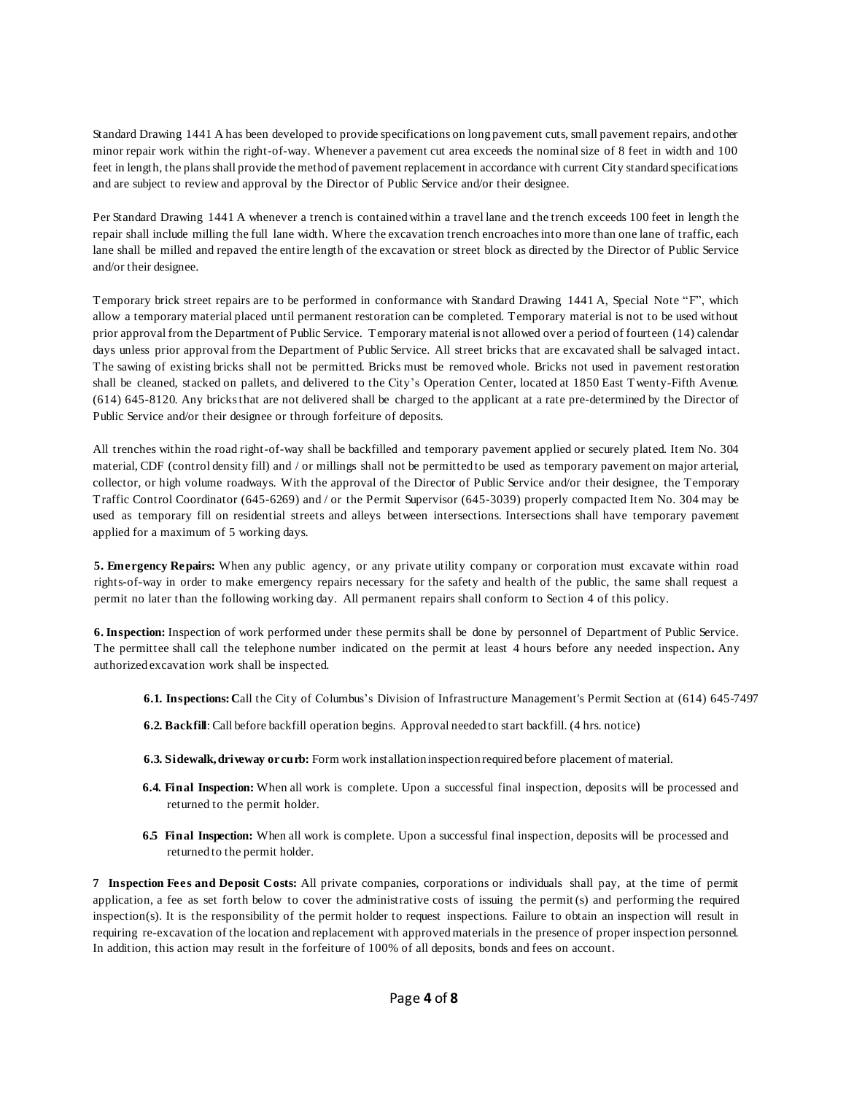Standard Drawing 1441 A has been developed to provide specifications on long pavement cuts, small pavement repairs, and other minor repair work within the right-of-way. Whenever a pavement cut area exceeds the nominalsize of 8 feet in width and 100 feet in length, the plansshall provide the method of pavement replacement in accordance with current City standard specifications and are subject to review and approval by the Director of Public Service and/or their designee.

Per Standard Drawing 1441 A whenever a trench is contained within a travel lane and the trench exceeds 100 feet in length the repair shall include milling the full lane width. Where the excavation trench encroachesinto more than one lane of traffic, each lane shall be milled and repaved the entire length of the excavation or street block as directed by the Director of Public Service and/or their designee.

Temporary brick street repairs are to be performed in conformance with Standard Drawing 1441 A, Special Note "F", which allow a temporary material placed until permanent restoration can be completed. Temporary material is not to be used without prior approval from the Department of Public Service. Temporary material is not allowed over a period of fourteen (14) calendar days unless prior approval from the Department of Public Service. All street bricks that are excavated shall be salvaged intact. The sawing of existing bricks shall not be permitted. Bricks must be removed whole. Bricks not used in pavement restoration shall be cleaned, stacked on pallets, and delivered to the City's Operation Center, located at 1850 East Twenty-Fifth Avenue. (614) 645-8120. Any bricksthat are not delivered shall be charged to the applicant at a rate pre-determined by the Director of Public Service and/or their designee or through forfeiture of deposits.

All trenches within the road right-of-way shall be backfilled and temporary pavement applied or securely plated. Item No. 304 material, CDF (control density fill) and / or millings shall not be permitted to be used as temporary pavement on major arterial, collector, or high volume roadways. With the approval of the Director of Public Service and/or their designee, the Temporary Traffic Control Coordinator (645-6269) and / or the Permit Supervisor (645-3039) properly compacted Item No. 304 may be used as temporary fill on residential streets and alleys between intersections. Intersections shall have temporary pavement applied for a maximum of 5 working days.

**5. Emergency Repairs:** When any public agency, or any private utility company or corporation must excavate within road rights-of-way in order to make emergency repairs necessary for the safety and health of the public, the same shall request a permit no later than the following working day. All permanent repairs shall conform to Section 4 of this policy.

**6. Inspection:** Inspection of work performed under these permits shall be done by personnel of Department of Public Service. The permittee shall call the telephone number indicated on the permit at least 4 hours before any needed inspection**.** Any authorized excavation work shall be inspected.

- **6.1. Inspections:C**all the City of Columbus's Division of Infrastructure Management's Permit Section at (614) 645-7497
- **6.2. Backfill**: Call before backfill operation begins. Approval needed to start backfill. (4 hrs. notice)
- **6.3. Sidewalk,driveway orcurb:** Form work installation inspection required before placement of material.
- **6.4. Final Inspection:** When all work is complete. Upon a successful final inspection, deposits will be processed and returned to the permit holder.
- **6.5 Final Inspection:** When all work is complete. Upon a successful final inspection, deposits will be processed and returned to the permit holder.

**7 Inspection Fees and Deposit Costs:** All private companies, corporations or individuals shall pay, at the time of permit application, a fee as set forth below to cover the administrative costs of issuing the permit (s) and performing the required inspection(s). It is the responsibility of the permit holder to request inspections. Failure to obtain an inspection will result in requiring re-excavation of the location and replacement with approvedmaterials in the presence of proper inspection personnel. In addition, this action may result in the forfeiture of 100% of all deposits, bonds and fees on account.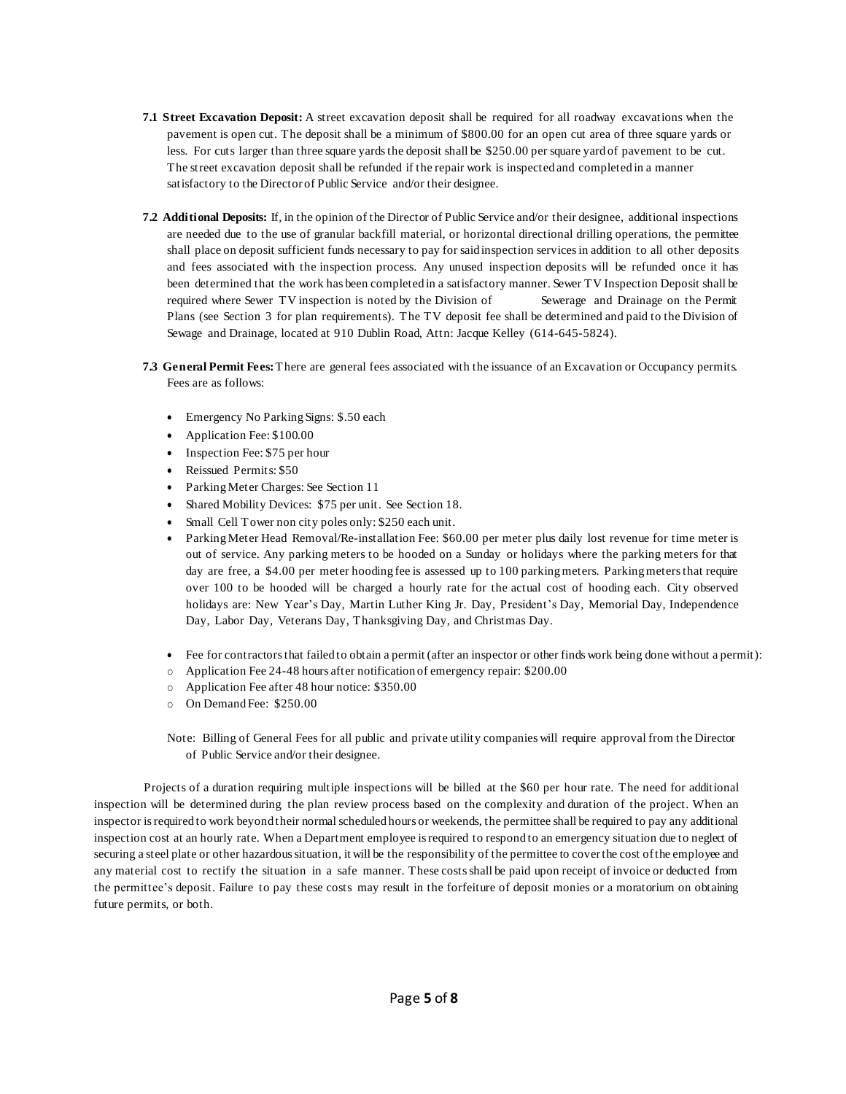- **7.1 Street Excavation Deposit:** A street excavation deposit shall be required for all roadway excavations when the pavement is open cut. The deposit shall be a minimum of \$800.00 for an open cut area of three square yards or less. For cuts larger than three square yards the deposit shall be \$250.00 per square yard of pavement to be cut. The street excavation deposit shall be refunded if the repair work is inspected and completed in a manner satisfactory to the Director of Public Service and/or their designee.
- **7.2 Additional Deposits:** If, in the opinion of the Director of Public Service and/or their designee, additional inspections are needed due to the use of granular backfill material, or horizontal directional drilling operations, the permittee shall place on deposit sufficient funds necessary to pay for said inspection servicesin addition to all other deposits and fees associated with the inspection process. Any unused inspection deposits will be refunded once it has been determined that the work has been completed in a satisfactory manner. Sewer TV Inspection Deposit shall be required where Sewer TV inspection is noted by the Division of Sewerage and Drainage on the Permit Plans (see Section 3 for plan requirements). The TV deposit fee shall be determined and paid to the Division of Sewage and Drainage, located at 910 Dublin Road, Attn: Jacque Kelley (614-645-5824).
- **7.3 General Permit Fees:**There are general fees associated with the issuance of an Excavation or Occupancy permits. Fees are as follows:
	- Emergency No Parking Signs: \$.50 each
	- Application Fee: \$100.00
	- Inspection Fee: \$75 per hour
	- Reissued Permits: \$50
	- ParkingMeter Charges: See Section 11
	- Shared Mobility Devices: \$75 per unit. See Section 18.
	- Small Cell Tower non city poles only: \$250 each unit.
	- ParkingMeter Head Removal/Re-installation Fee: \$60.00 per meter plus daily lost revenue for time meter is out of service. Any parking meters to be hooded on a Sunday or holidays where the parking meters for that day are free, a \$4.00 per meter hooding fee is assessed up to 100 parking meters. Parking meters that require over 100 to be hooded will be charged a hourly rate for the actual cost of hooding each. City observed holidays are: New Year's Day, Martin Luther King Jr. Day, President 's Day, Memorial Day, Independence Day, Labor Day, Veterans Day, Thanksgiving Day, and Christmas Day.
	- Fee for contractorsthat failed to obtain a permit (after an inspector or other finds work being done without a permit):
	- o Application Fee 24-48 hours after notification of emergency repair: \$200.00
	- o Application Fee after 48 hour notice: \$350.00
	- o On Demand Fee: \$250.00

Note: Billing of General Fees for all public and private utility companies will require approval from the Director of Public Service and/or their designee.

Projects of a duration requiring multiple inspections will be billed at the \$60 per hour rate. The need for additional inspection will be determined during the plan review process based on the complexity and duration of the project. When an inspector isrequired to work beyond their normalscheduled hours or weekends, the permittee shall be required to pay any additional inspection cost at an hourly rate. When a Department employee isrequired to respond to an emergency situation due to neglect of securing a steel plate or other hazardoussituation, it will be the responsibility of the permittee to coverthe cost ofthe employee and any material cost to rectify the situation in a safe manner. These costsshall be paid upon receipt of invoice or deducted from the permittee's deposit. Failure to pay these costs may result in the forfeiture of deposit monies or a moratorium on obtaining future permits, or both.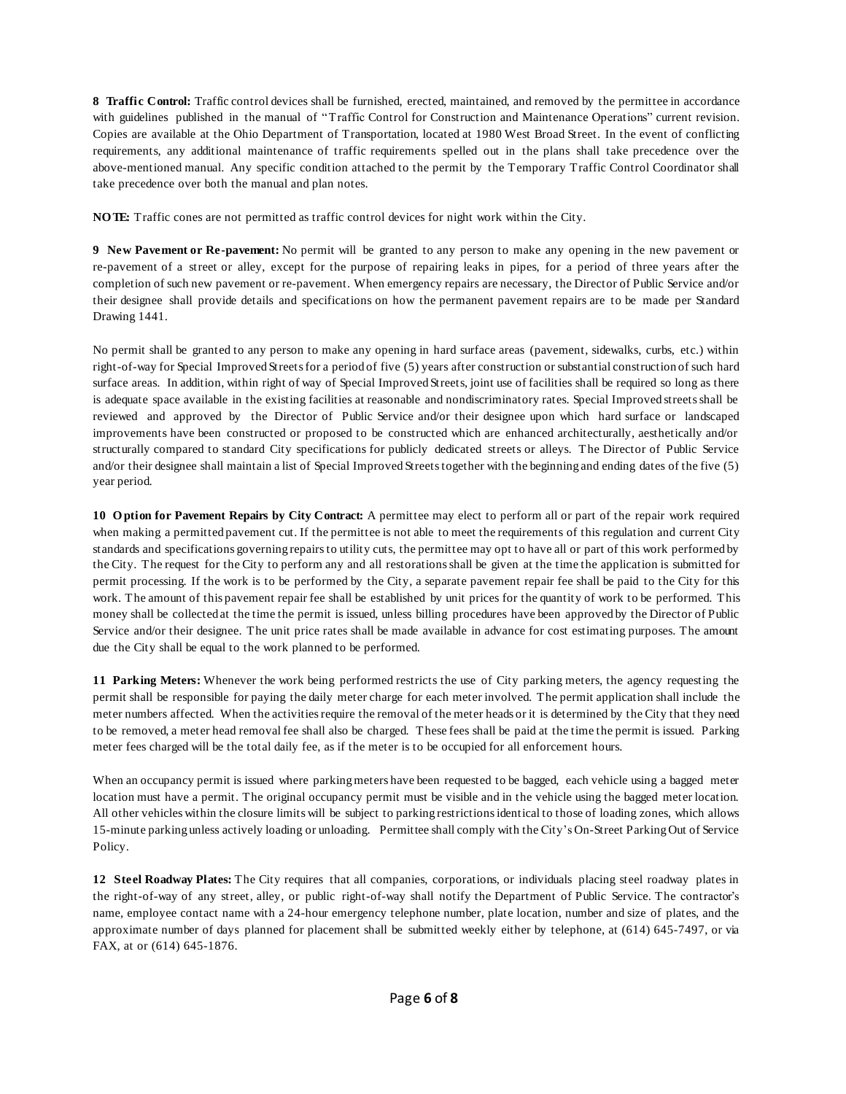**8 Traffic Control:** Traffic control devices shall be furnished, erected, maintained, and removed by the permittee in accordance with guidelines published in the manual of "Traffic Control for Construction and Maintenance Operations" current revision. Copies are available at the Ohio Department of Transportation, located at 1980 West Broad Street. In the event of conflicting requirements, any additional maintenance of traffic requirements spelled out in the plans shall take precedence over the above-mentioned manual. Any specific condition attached to the permit by the Temporary Traffic Control Coordinator shall take precedence over both the manual and plan notes.

**NO TE:** Traffic cones are not permitted as traffic control devices for night work within the City.

**9 New Pavement or Re-pavement:** No permit will be granted to any person to make any opening in the new pavement or re-pavement of a street or alley, except for the purpose of repairing leaks in pipes, for a period of three years after the completion of such new pavement or re-pavement. When emergency repairs are necessary, the Director of Public Service and/or their designee shall provide details and specifications on how the permanent pavement repairs are to be made per Standard Drawing 1441.

No permit shall be granted to any person to make any opening in hard surface areas (pavement, sidewalks, curbs, etc.) within right-of-way for Special Improved Streets for a period of five (5) years after construction or substantial construction of such hard surface areas. In addition, within right of way of Special Improved Streets, joint use of facilities shall be required so long as there is adequate space available in the existing facilities at reasonable and nondiscriminatory rates. Special Improved streetsshall be reviewed and approved by the Director of Public Service and/or their designee upon which hard surface or landscaped improvements have been constructed or proposed to be constructed which are enhanced architecturally, aesthetically and/or structurally compared to standard City specifications for publicly dedicated streets or alleys. The Director of Public Service and/or their designee shall maintain a list of Special Improved Streetstogether with the beginning and ending dates of the five (5) year period.

**10 O ption for Pavement Repairs by City Contract:** A permittee may elect to perform all or part of the repair work required when making a permitted pavement cut. If the permittee is not able to meet the requirements of this regulation and current City standards and specifications governing repairsto utility cuts, the permittee may opt to have all or part of this work performed by the City. The request for the City to perform any and all restorationsshall be given at the time the application is submitted for permit processing. If the work is to be performed by the City, a separate pavement repair fee shall be paid to the City for this work. The amount of this pavement repair fee shall be established by unit prices for the quantity of work to be performed. This money shall be collected at the time the permit is issued, unless billing procedures have been approved by the Director of Public Service and/or their designee. The unit price rates shall be made available in advance for cost estimating purposes. The amount due the City shall be equal to the work planned to be performed.

**11 Parking Meters:** Whenever the work being performed restricts the use of City parking meters, the agency requesting the permit shall be responsible for paying the daily meter charge for each meter involved. The permit application shall include the meter numbers affected. When the activities require the removal of the meter heads or it is determined by the City that they need to be removed, a meter head removal fee shall also be charged. These fees shall be paid at the time the permit is issued. Parking meter fees charged will be the total daily fee, as if the meter is to be occupied for all enforcement hours.

When an occupancy permit is issued where parking meters have been requested to be bagged, each vehicle using a bagged meter location must have a permit. The original occupancy permit must be visible and in the vehicle using the bagged meter location. All other vehicles within the closure limits will be subject to parking restrictionsidentical to those of loading zones, which allows 15-minute parking unless actively loading or unloading. Permittee shall comply with the City's On-Street Parking Out of Service Policy.

**12 Steel Roadway Plates:** The City requires that all companies, corporations, or individuals placing steel roadway plates in the right-of-way of any street, alley, or public right-of-way shall notify the Department of Public Service. The contractor's name, employee contact name with a 24-hour emergency telephone number, plate location, number and size of plates, and the approximate number of days planned for placement shall be submitted weekly either by telephone, at (614) 645-7497, or via FAX, at or (614) 645-1876.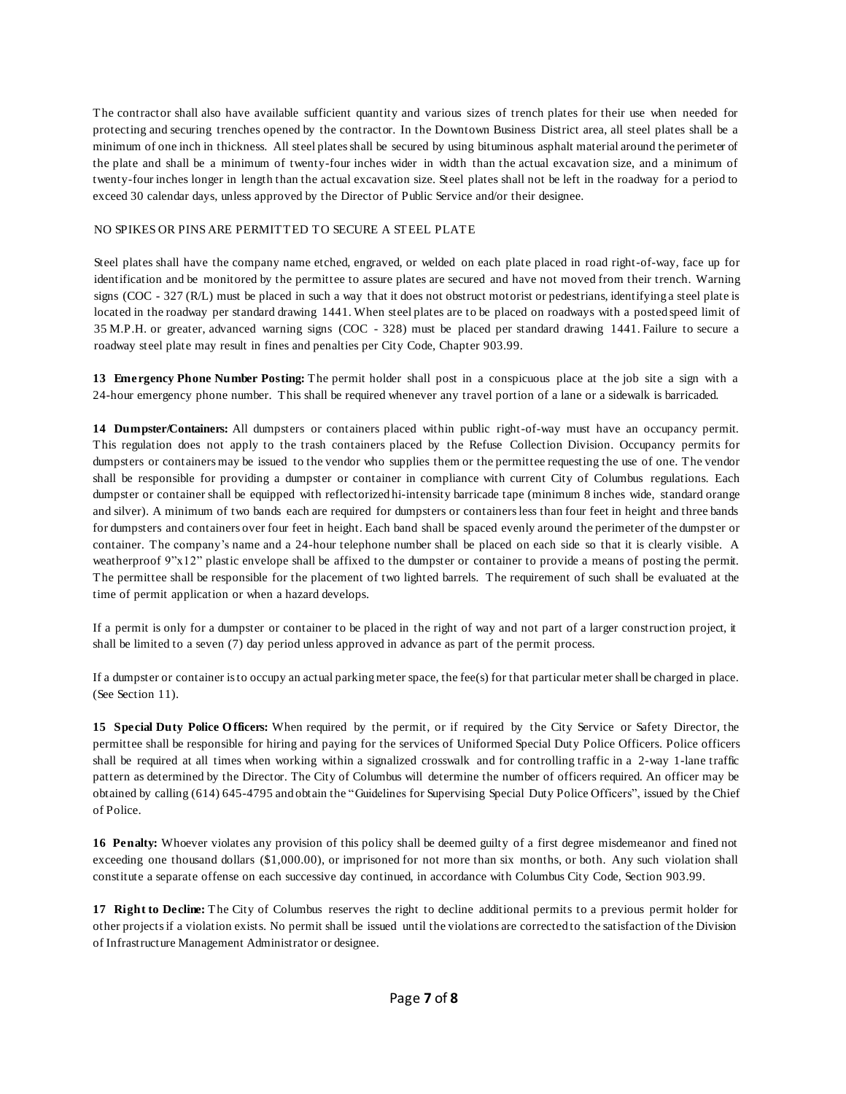The contractor shall also have available sufficient quantity and various sizes of trench plates for their use when needed for protecting and securing trenches opened by the contractor. In the Downtown Business District area, all steel plates shall be a minimum of one inch in thickness. All steel platesshall be secured by using bituminous asphalt material around the perimeter of the plate and shall be a minimum of twenty-four inches wider in width than the actual excavation size, and a minimum of twenty-four inches longer in length than the actual excavation size. Steel plates shall not be left in the roadway for a period to exceed 30 calendar days, unless approved by the Director of Public Service and/or their designee.

### NO SPIKES OR PINS ARE PERMITTED TO SECURE A STEEL PLATE

Steel plates shall have the company name etched, engraved, or welded on each plate placed in road right-of-way, face up for identification and be monitored by the permittee to assure plates are secured and have not moved from their trench. Warning signs (COC - 327 (R/L) must be placed in such a way that it does not obstruct motorist or pedestrians, identifying a steel plate is located in the roadway per standard drawing 1441. When steel plates are to be placed on roadways with a posted speed limit of 35 M.P.H. or greater, advanced warning signs (COC - 328) must be placed per standard drawing 1441. Failure to secure a roadway steel plate may result in fines and penalties per City Code, Chapter 903.99.

**13 Emergency Phone Number Posting:** The permit holder shall post in a conspicuous place at the job site a sign with a 24-hour emergency phone number. This shall be required whenever any travel portion of a lane or a sidewalk is barricaded.

**14 Dumpster/Containers:** All dumpsters or containers placed within public right-of-way must have an occupancy permit. This regulation does not apply to the trash containers placed by the Refuse Collection Division. Occupancy permits for dumpsters or containers may be issued to the vendor who supplies them or the permittee requesting the use of one. The vendor shall be responsible for providing a dumpster or container in compliance with current City of Columbus regulations. Each dumpster or container shall be equipped with reflectorized hi-intensity barricade tape (minimum 8 inches wide, standard orange and silver). A minimum of two bands each are required for dumpsters or containersless than four feet in height and three bands for dumpsters and containers over four feet in height. Each band shall be spaced evenly around the perimeter of the dumpster or container. The company's name and a 24-hour telephone number shall be placed on each side so that it is clearly visible. A weatherproof 9"x12" plastic envelope shall be affixed to the dumpster or container to provide a means of posting the permit. The permittee shall be responsible for the placement of two lighted barrels. The requirement of such shall be evaluated at the time of permit application or when a hazard develops.

If a permit is only for a dumpster or container to be placed in the right of way and not part of a larger construction project, it shall be limited to a seven (7) day period unless approved in advance as part of the permit process.

If a dumpster or container isto occupy an actual parkingmeter space, the fee(s) for that particular meter shall be charged in place. (See Section 11).

**15 Special Duty Police O fficers:** When required by the permit, or if required by the City Service or Safety Director, the permittee shall be responsible for hiring and paying for the services of Uniformed Special Duty Police Officers. Police officers shall be required at all times when working within a signalized crosswalk and for controlling traffic in a 2-way 1-lane traffic pattern as determined by the Director. The City of Columbus will determine the number of officers required. An officer may be obtained by calling (614) 645-4795 and obtain the "Guidelines for Supervising Special Duty Police Officers", issued by the Chief of Police.

**16 Penalty:** Whoever violates any provision of this policy shall be deemed guilty of a first degree misdemeanor and fined not exceeding one thousand dollars (\$1,000.00), or imprisoned for not more than six months, or both. Any such violation shall constitute a separate offense on each successive day continued, in accordance with Columbus City Code, Section 903.99.

**17 Right to Decline:** The City of Columbus reserves the right to decline additional permits to a previous permit holder for other projectsif a violation exists. No permit shall be issued until the violations are corrected to the satisfaction of the Division of Infrastructure Management Administrator or designee.